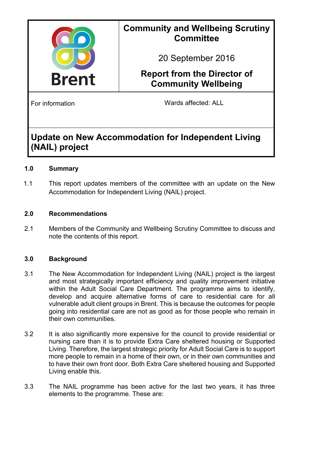

### **Community and Wellbeing Scrutiny Committee**

20 September 2016

# **Report from the Director of Community Wellbeing**

For information **Example 20** Mards affected: ALL

## **Update on New Accommodation for Independent Living (NAIL) project**

### **1.0 Summary**

1.1 This report updates members of the committee with an update on the New Accommodation for Independent Living (NAIL) project.

### **2.0 Recommendations**

2.1 Members of the Community and Wellbeing Scrutiny Committee to discuss and note the contents of this report.

### **3.0 Background**

- 3.1 The New Accommodation for Independent Living (NAIL) project is the largest and most strategically important efficiency and quality improvement initiative within the Adult Social Care Department. The programme aims to identify, develop and acquire alternative forms of care to residential care for all vulnerable adult client groups in Brent. This is because the outcomes for people going into residential care are not as good as for those people who remain in their own communities.
- 3.2 It is also significantly more expensive for the council to provide residential or nursing care than it is to provide Extra Care sheltered housing or Supported Living. Therefore, the largest strategic priority for Adult Social Care is to support more people to remain in a home of their own, or in their own communities and to have their own front door. Both Extra Care sheltered housing and Supported Living enable this.
- 3.3 The NAIL programme has been active for the last two years, it has three elements to the programme. These are: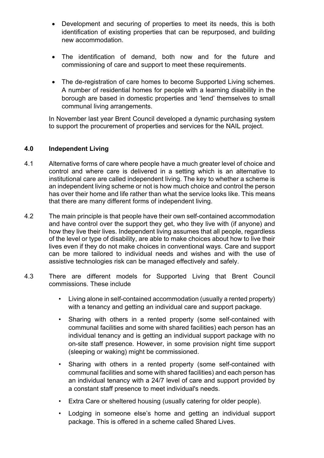- Development and securing of properties to meet its needs, this is both identification of existing properties that can be repurposed, and building new accommodation.
- The identification of demand, both now and for the future and commissioning of care and support to meet these requirements.
- The de-registration of care homes to become Supported Living schemes. A number of residential homes for people with a learning disability in the borough are based in domestic properties and 'lend' themselves to small communal living arrangements.

In November last year Brent Council developed a dynamic purchasing system to support the procurement of properties and services for the NAIL project.

#### **4.0 Independent Living**

- 4.1 Alternative forms of care where people have a much greater level of choice and control and where care is delivered in a setting which is an alternative to institutional care are called independent living. The key to whether a scheme is an independent living scheme or not is how much choice and control the person has over their home and life rather than what the service looks like. This means that there are many different forms of independent living.
- 4.2 The main principle is that people have their own self-contained accommodation and have control over the support they get, who they live with (if anyone) and how they live their lives. Independent living assumes that all people, regardless of the level or type of disability, are able to make choices about how to live their lives even if they do not make choices in conventional ways. Care and support can be more tailored to individual needs and wishes and with the use of assistive technologies risk can be managed effectively and safely.
- 4.3 There are different models for Supported Living that Brent Council commissions. These include
	- Living alone in self-contained accommodation (usually a rented property) with a tenancy and getting an individual care and support package.
	- Sharing with others in a rented property (some self-contained with communal facilities and some with shared facilities) each person has an individual tenancy and is getting an individual support package with no on-site staff presence. However, in some provision night time support (sleeping or waking) might be commissioned.
	- Sharing with others in a rented property (some self-contained with communal facilities and some with shared facilities) and each person has an individual tenancy with a 24/7 level of care and support provided by a constant staff presence to meet individual's needs.
	- Extra Care or sheltered housing (usually catering for older people).
	- Lodging in someone else's home and getting an individual support package. This is offered in a scheme called Shared Lives.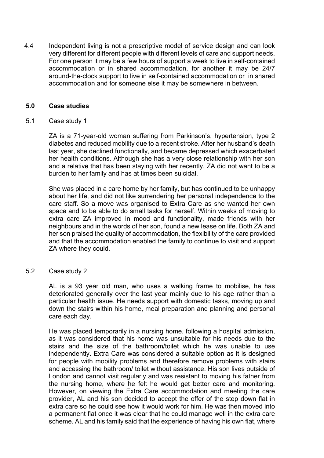4.4 Independent living is not a prescriptive model of service design and can look very different for different people with different levels of care and support needs. For one person it may be a few hours of support a week to live in self-contained accommodation or in shared accommodation, for another it may be 24/7 around-the-clock support to live in self-contained accommodation or in shared accommodation and for someone else it may be somewhere in between.

#### **5.0 Case studies**

5.1 Case study 1

ZA is a 71-year-old woman suffering from Parkinson's, hypertension, type 2 diabetes and reduced mobility due to a recent stroke. After her husband's death last year, she declined functionally, and became depressed which exacerbated her health conditions. Although she has a very close relationship with her son and a relative that has been staying with her recently, ZA did not want to be a burden to her family and has at times been suicidal.

She was placed in a care home by her family, but has continued to be unhappy about her life, and did not like surrendering her personal independence to the care staff. So a move was organised to Extra Care as she wanted her own space and to be able to do small tasks for herself. Within weeks of moving to extra care ZA improved in mood and functionality, made friends with her neighbours and in the words of her son, found a new lease on life. Both ZA and her son praised the quality of accommodation, the flexibility of the care provided and that the accommodation enabled the family to continue to visit and support ZA where they could.

5.2 Case study 2

AL is a 93 year old man, who uses a walking frame to mobilise, he has deteriorated generally over the last year mainly due to his age rather than a particular health issue. He needs support with domestic tasks, moving up and down the stairs within his home, meal preparation and planning and personal care each day.

He was placed temporarily in a nursing home, following a hospital admission, as it was considered that his home was unsuitable for his needs due to the stairs and the size of the bathroom/toilet which he was unable to use independently. Extra Care was considered a suitable option as it is designed for people with mobility problems and therefore remove problems with stairs and accessing the bathroom/ toilet without assistance. His son lives outside of London and cannot visit regularly and was resistant to moving his father from the nursing home, where he felt he would get better care and monitoring. However, on viewing the Extra Care accommodation and meeting the care provider, AL and his son decided to accept the offer of the step down flat in extra care so he could see how it would work for him. He was then moved into a permanent flat once it was clear that he could manage well in the extra care scheme. AL and his family said that the experience of having his own flat, where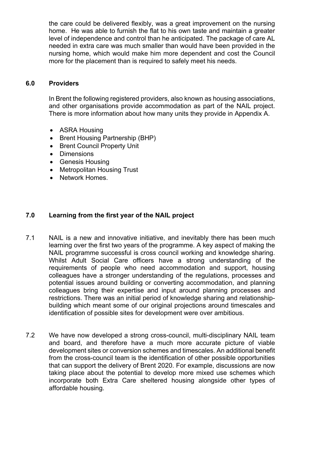the care could be delivered flexibly, was a great improvement on the nursing home. He was able to furnish the flat to his own taste and maintain a greater level of independence and control than he anticipated. The package of care AL needed in extra care was much smaller than would have been provided in the nursing home, which would make him more dependent and cost the Council more for the placement than is required to safely meet his needs.

#### **6.0 Providers**

In Brent the following registered providers, also known as housing associations, and other organisations provide accommodation as part of the NAIL project. There is more information about how many units they provide in Appendix A.

- ASRA Housing
- Brent Housing Partnership (BHP)
- Brent Council Property Unit
- Dimensions
- Genesis Housing
- Metropolitan Housing Trust
- Network Homes

#### **7.0 Learning from the first year of the NAIL project**

- 7.1 NAIL is a new and innovative initiative, and inevitably there has been much learning over the first two years of the programme. A key aspect of making the NAIL programme successful is cross council working and knowledge sharing. Whilst Adult Social Care officers have a strong understanding of the requirements of people who need accommodation and support, housing colleagues have a stronger understanding of the regulations, processes and potential issues around building or converting accommodation, and planning colleagues bring their expertise and input around planning processes and restrictions. There was an initial period of knowledge sharing and relationshipbuilding which meant some of our original projections around timescales and identification of possible sites for development were over ambitious.
- 7.2 We have now developed a strong cross-council, multi-disciplinary NAIL team and board, and therefore have a much more accurate picture of viable development sites or conversion schemes and timescales. An additional benefit from the cross-council team is the identification of other possible opportunities that can support the delivery of Brent 2020. For example, discussions are now taking place about the potential to develop more mixed use schemes which incorporate both Extra Care sheltered housing alongside other types of affordable housing.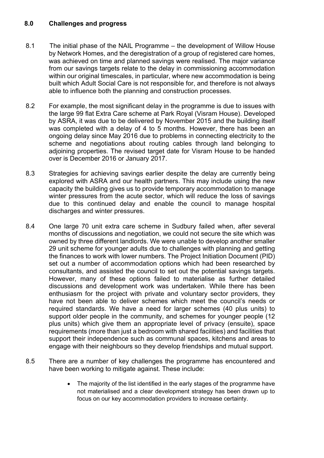#### **8.0 Challenges and progress**

- 8.1 The initial phase of the NAIL Programme the development of Willow House by Network Homes, and the deregistration of a group of registered care homes, was achieved on time and planned savings were realised. The major variance from our savings targets relate to the delay in commissioning accommodation within our original timescales, in particular, where new accommodation is being built which Adult Social Care is not responsible for, and therefore is not always able to influence both the planning and construction processes.
- 8.2 For example, the most significant delay in the programme is due to issues with the large 99 flat Extra Care scheme at Park Royal (Visram House). Developed by ASRA, it was due to be delivered by November 2015 and the building itself was completed with a delay of 4 to 5 months. However, there has been an ongoing delay since May 2016 due to problems in connecting electricity to the scheme and negotiations about routing cables through land belonging to adjoining properties. The revised target date for Visram House to be handed over is December 2016 or January 2017.
- 8.3 Strategies for achieving savings earlier despite the delay are currently being explored with ASRA and our health partners. This may include using the new capacity the building gives us to provide temporary accommodation to manage winter pressures from the acute sector, which will reduce the loss of savings due to this continued delay and enable the council to manage hospital discharges and winter pressures.
- 8.4 One large 70 unit extra care scheme in Sudbury failed when, after several months of discussions and negotiation, we could not secure the site which was owned by three different landlords. We were unable to develop another smaller 29 unit scheme for younger adults due to challenges with planning and getting the finances to work with lower numbers. The Project Initiation Document (PID) set out a number of accommodation options which had been researched by consultants, and assisted the council to set out the potential savings targets. However, many of these options failed to materialise as further detailed discussions and development work was undertaken. While there has been enthusiasm for the project with private and voluntary sector providers, they have not been able to deliver schemes which meet the council's needs or required standards. We have a need for larger schemes (40 plus units) to support older people in the community, and schemes for younger people (12 plus units) which give them an appropriate level of privacy (ensuite), space requirements (more than just a bedroom with shared facilities) and facilities that support their independence such as communal spaces, kitchens and areas to engage with their neighbours so they develop friendships and mutual support.
- 8.5 There are a number of key challenges the programme has encountered and have been working to mitigate against. These include:
	- The majority of the list identified in the early stages of the programme have not materialised and a clear development strategy has been drawn up to focus on our key accommodation providers to increase certainty.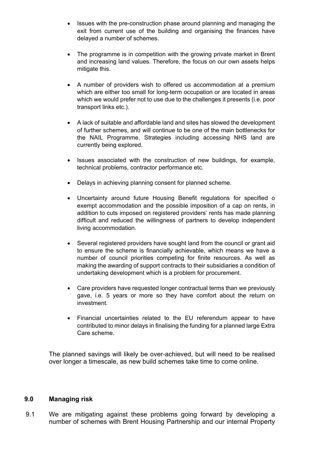- Issues with the pre-construction phase around planning and managing the exit from current use of the building and organising the finances have delayed a number of schemes.
- The programme is in competition with the growing private market in Brent and increasing land values. Therefore, the focus on our own assets helps mitigate this.
- A number of providers wish to offered us accommodation at a premium which are either too small for long-term occupation or are located in areas which we would prefer not to use due to the challenges it presents (i.e. poor transport links etc.).
- A lack of suitable and affordable land and sites has slowed the development of further schemes, and will continue to be one of the main bottlenecks for the NAIL Programme. Strategies including accessing NHS land are currently being explored.
- Issues associated with the construction of new buildings, for example, technical problems, contractor performance etc.
- Delays in achieving planning consent for planned scheme.
- Uncertainty around future Housing Benefit regulations for specified o exempt accommodation and the possible imposition of a cap on rents, in addition to cuts imposed on registered providers' rents has made planning difficult and reduced the willingness of partners to develop independent living accommodation.
- Several registered providers have sought land from the council or grant aid to ensure the scheme is financially achievable, which means we have a number of council priorities competing for finite resources. As well as making the awarding of support contracts to their subsidiaries a condition of undertaking development which is a problem for procurement.
- Care providers have requested longer contractual terms than we previously gave, i.e. 5 years or more so they have comfort about the return on investment.
- Financial uncertainties related to the EU referendum appear to have contributed to minor delays in finalising the funding for a planned large Extra Care scheme.

The planned savings will likely be over-achieved, but will need to be realised over longer a timescale, as new build schemes take time to come online.

#### **9.0 Managing risk**

9.1 We are mitigating against these problems going forward by developing a number of schemes with Brent Housing Partnership and our internal Property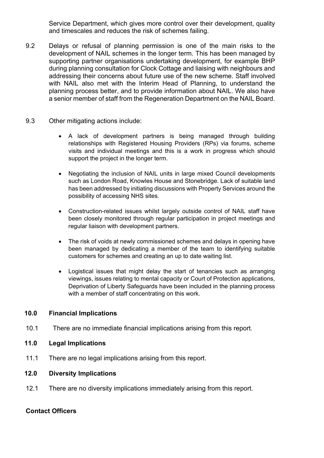Service Department, which gives more control over their development, quality and timescales and reduces the risk of schemes failing.

- 9.2 Delays or refusal of planning permission is one of the main risks to the development of NAIL schemes in the longer term. This has been managed by supporting partner organisations undertaking development, for example BHP during planning consultation for Clock Cottage and liaising with neighbours and addressing their concerns about future use of the new scheme. Staff involved with NAIL also met with the Interim Head of Planning, to understand the planning process better, and to provide information about NAIL. We also have a senior member of staff from the Regeneration Department on the NAIL Board.
- 9.3 Other mitigating actions include:
	- A lack of development partners is being managed through building relationships with Registered Housing Providers (RPs) via forums, scheme visits and individual meetings and this is a work in progress which should support the project in the longer term.
	- Negotiating the inclusion of NAIL units in large mixed Council developments such as London Road, Knowles House and Stonebridge. Lack of suitable land has been addressed by initiating discussions with Property Services around the possibility of accessing NHS sites.
	- Construction-related issues whilst largely outside control of NAIL staff have been closely monitored through regular participation in project meetings and regular liaison with development partners.
	- The risk of voids at newly commissioned schemes and delays in opening have been managed by dedicating a member of the team to identifying suitable customers for schemes and creating an up to date waiting list.
	- Logistical issues that might delay the start of tenancies such as arranging viewings, issues relating to mental capacity or Court of Protection applications, Deprivation of Liberty Safeguards have been included in the planning process with a member of staff concentrating on this work.

#### **10.0 Financial Implications**

10.1 There are no immediate financial implications arising from this report.

#### **11.0 Legal Implications**

11.1 There are no legal implications arising from this report.

#### **12.0 Diversity Implications**

12.1 There are no diversity implications immediately arising from this report.

#### **Contact Officers**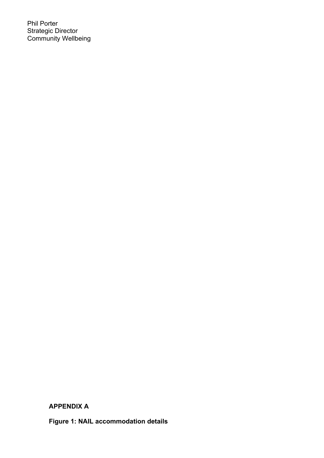Phil Porter Strategic Director Community Wellbeing

**APPENDIX A**

**Figure 1: NAIL accommodation details**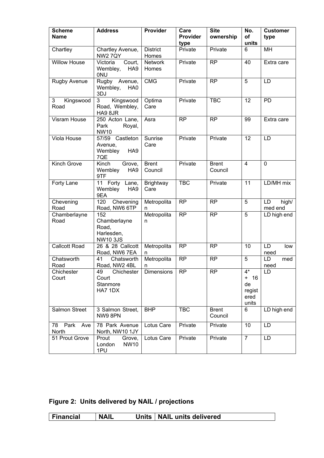| <b>Scheme</b><br><b>Name</b> | <b>Address</b>                                                  | <b>Provider</b>          | Care<br>Provider | <b>Site</b><br>ownership | No.<br>of                                           | <b>Customer</b><br>type |
|------------------------------|-----------------------------------------------------------------|--------------------------|------------------|--------------------------|-----------------------------------------------------|-------------------------|
|                              |                                                                 |                          | type             |                          | units                                               |                         |
| Chartley                     | Chartley Avenue,<br><b>NW2 7QY</b>                              | <b>District</b><br>Homes | Private          | Private                  | 6                                                   | MH                      |
| <b>Willow House</b>          | Victoria<br>Court,<br>Wembley,<br>HA <sub>9</sub><br><b>ONU</b> | <b>Network</b><br>Homes  | Private          | <b>RP</b>                | 40                                                  | Extra care              |
| <b>Rugby Avenue</b>          | Rugby Avenue,<br>Wembley,<br>HA0<br>3DJ                         | <b>CMG</b>               | Private          | <b>RP</b>                | 5                                                   | LD                      |
| Kingswood<br>3<br>Road       | 3<br>Kingswood<br>Road, Wembley,<br>HA9 8JR                     | Optima<br>Care           | Private          | <b>TBC</b>               | 12                                                  | PD                      |
| Visram House                 | 250 Acton Lane,<br>Park<br>Royal,<br><b>NW10</b>                | Asra                     | <b>RP</b>        | <b>RP</b>                | 99                                                  | Extra care              |
| Viola House                  | 57/59 Castleton<br>Avenue,<br>HA <sub>9</sub><br>Wembley<br>7QE | Sunrise<br>Care          | Private          | Private                  | 12                                                  | LD                      |
| Kinch Grove                  | Kinch<br>Grove,<br>Wembley<br>HA <sub>9</sub><br>9TF            | <b>Brent</b><br>Council  | Private          | <b>Brent</b><br>Council  | $\overline{4}$                                      | $\mathbf 0$             |
| Forty Lane                   | 11 Forty Lane,<br>Wembley<br>HA <sub>9</sub><br>9EA             | Brightway<br>Care        | <b>TBC</b>       | Private                  | 11                                                  | LD/MH mix               |
| Chevening<br>Road            | 120<br>Chevening<br>Road, NW6 6TP                               | Metropolita<br>n         | <b>RP</b>        | <b>RP</b>                | 5                                                   | LD<br>high/<br>med end  |
| Chamberlayne<br>Road         | 152<br>Chamberlayne<br>Road,<br>Harlesden,<br><b>NW103JS</b>    | Metropolita<br>n         | <b>RP</b>        | <b>RP</b>                | 5                                                   | LD high end             |
| <b>Callcott Road</b>         | 26 & 28 Callcott<br>Road, NW6 7EA                               | Metropolita<br>n         | <b>RP</b>        | <b>RP</b>                | 10                                                  | LD<br>low<br>need       |
| Chatsworth<br>Road           | Chatsworth<br>41<br>Road, NW2 4BL                               | Metropolita<br>n         | <b>RP</b>        | <b>RP</b>                | $\overline{5}$                                      | LD<br>med<br>need       |
| Chichester<br>Court          | 49<br>Chichester<br>Court<br>Stanmore<br>HA7 1DX                | Dimensions               | <b>RP</b>        | <b>RP</b>                | $4^*$<br>$+$<br>16<br>de<br>regist<br>ered<br>units | LD                      |
| Salmon Street                | 3 Salmon Street,<br>NW98PN                                      | <b>BHP</b>               | <b>TBC</b>       | <b>Brent</b><br>Council  | 6                                                   | LD high end             |
| 78<br>Park<br>Ave<br>North   | 78 Park Avenue<br>North, NW10 1JY                               | Lotus Care               | Private          | Private                  | 10                                                  | LD                      |
| 51 Prout Grove               | Prout<br>Grove,<br>London<br>NW10<br>1PU                        | Lotus Care               | Private          | Private                  | $\overline{7}$                                      | LD                      |

**Figure 2: Units delivered by NAIL / projections**

| Financial | <b>NAIL</b> |  | Units   NAIL units delivered |
|-----------|-------------|--|------------------------------|
|-----------|-------------|--|------------------------------|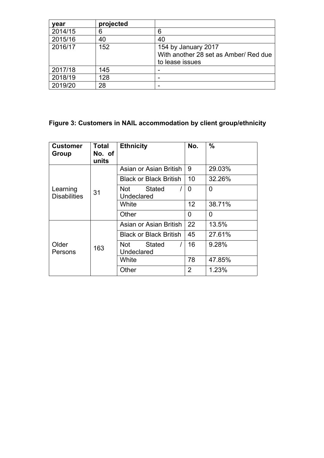| vear    | projected |                                       |
|---------|-----------|---------------------------------------|
| 2014/15 | 6         | 6                                     |
| 2015/16 | 40        | 40                                    |
| 2016/17 | 152       | 154 by January 2017                   |
|         |           | With another 28 set as Amber/ Red due |
|         |           | to lease issues                       |
| 2017/18 | 145       |                                       |
| 2018/19 | 128       |                                       |
| 2019/20 | 28        |                                       |

### **Figure 3: Customers in NAIL accommodation by client group/ethnicity**

| <b>Customer</b><br>Group        | <b>Total</b><br>No. of<br>units | <b>Ethnicity</b>                   | No. | $\frac{0}{0}$ |
|---------------------------------|---------------------------------|------------------------------------|-----|---------------|
| Learning<br><b>Disabilities</b> | 31                              | Asian or Asian British             | 9   | 29.03%        |
|                                 |                                 | <b>Black or Black British</b>      | 10  | 32.26%        |
|                                 |                                 | Stated<br>Not<br>Undeclared        | 0   | 0             |
|                                 |                                 | White                              | 12  | 38.71%        |
|                                 |                                 | Other                              | 0   | 0             |
| Older<br>Persons                | 163                             | Asian or Asian British             | 22  | 13.5%         |
|                                 |                                 | <b>Black or Black British</b>      | 45  | 27.61%        |
|                                 |                                 | <b>Stated</b><br>Not<br>Undeclared | 16  | 9.28%         |
|                                 |                                 | White                              | 78  | 47.85%        |
|                                 |                                 | Other                              | 2   | 1.23%         |